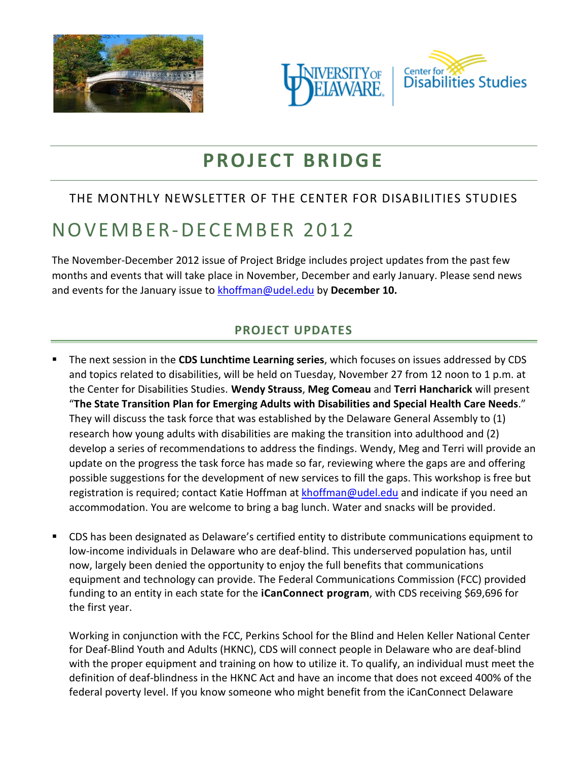





# **PROJECT BRIDGE**

## THE MONTHLY NEWSLETTER OF THE CENTER FOR DISABILITIES STUDIES

# NOVEMBER-DECEMBER 2012

The November-December 2012 issue of Project Bridge includes project updates from the past few months and events that will take place in November, December and early January. Please send news and events for the January issue to **[khoffman@udel.edu](mailto:khoffman@udel.edu)** by December 10.

## **PROJECT UPDATES**

- The next session in the **CDS Lunchtime Learning series**, which focuses on issues addressed by CDS and topics related to disabilities, will be held on Tuesday, November 27 from 12 noon to 1 p.m. at the Center for Disabilities Studies. **Wendy Strauss**, **Meg Comeau** and **Terri Hancharick** will present "**The State Transition Plan for Emerging Adults with Disabilities and Special Health Care Needs**." They will discuss the task force that was established by the Delaware General Assembly to (1) research how young adults with disabilities are making the transition into adulthood and (2) develop a series of recommendations to address the findings. Wendy, Meg and Terri will provide an update on the progress the task force has made so far, reviewing where the gaps are and offering possible suggestions for the development of new services to fill the gaps. This workshop is free but registration is required; contact Katie Hoffman at [khoffman@udel.edu](mailto:khoffman@udel.edu) and indicate if you need an accommodation. You are welcome to bring a bag lunch. Water and snacks will be provided.
- CDS has been designated as Delaware's certified entity to distribute communications equipment to low-income individuals in Delaware who are deaf-blind. This underserved population has, until now, largely been denied the opportunity to enjoy the full benefits that communications equipment and technology can provide. The Federal Communications Commission (FCC) provided funding to an entity in each state for the **iCanConnect program**, with CDS receiving \$69,696 for the first year.

Working in conjunction with the FCC, Perkins School for the Blind and Helen Keller National Center for Deaf-Blind Youth and Adults (HKNC), CDS will connect people in Delaware who are deaf-blind with the proper equipment and training on how to utilize it. To qualify, an individual must meet the definition of deaf-blindness in the HKNC Act and have an income that does not exceed 400% of the federal poverty level. If you know someone who might benefit from the iCanConnect Delaware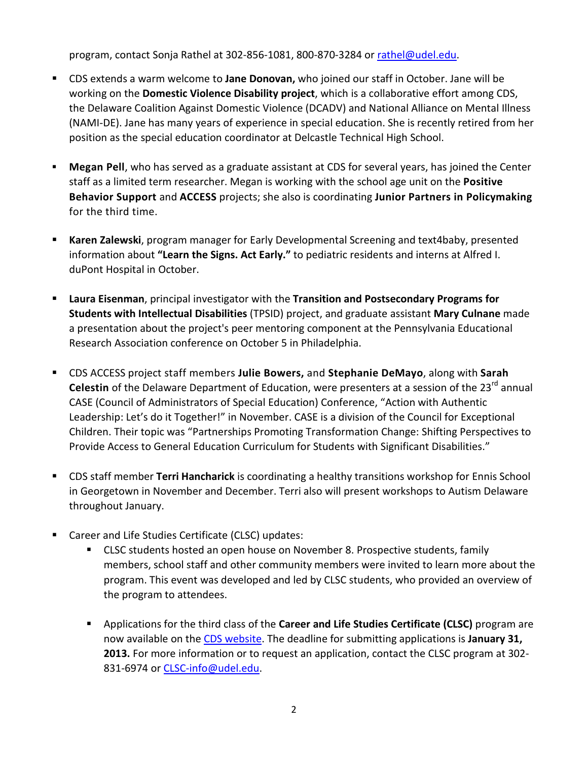program, contact Sonja Rathel at 302-856-1081, 800-870-3284 or [rathel@udel.edu.](mailto:rathel@udel.edu)

- CDS extends a warm welcome to **Jane Donovan,** who joined our staff in October. Jane will be working on the **Domestic Violence Disability project**, which is a collaborative effort among CDS, the Delaware Coalition Against Domestic Violence (DCADV) and National Alliance on Mental Illness (NAMI-DE). Jane has many years of experience in special education. She is recently retired from her position as the special education coordinator at Delcastle Technical High School.
- **Megan Pell**, who has served as a graduate assistant at CDS for several years, has joined the Center staff as a limited term researcher. Megan is working with the school age unit on the **Positive Behavior Support** and **ACCESS** projects; she also is coordinating **Junior Partners in Policymaking** for the third time.
- **Karen Zalewski**, program manager for Early Developmental Screening and text4baby, presented information about **"Learn the Signs. Act Early."** to pediatric residents and interns at Alfred I. duPont Hospital in October.
- **Laura Eisenman**, principal investigator with the **Transition and Postsecondary Programs for Students with Intellectual Disabilities** (TPSID) project, and graduate assistant **Mary Culnane** made a presentation about the project's peer mentoring component at the Pennsylvania Educational Research Association conference on October 5 in Philadelphia.
- CDS ACCESS project staff members **Julie Bowers,** and **Stephanie DeMayo**, along with **Sarah Celestin** of the Delaware Department of Education, were presenters at a session of the 23<sup>rd</sup> annual CASE (Council of Administrators of Special Education) Conference, "Action with Authentic Leadership: Let's do it Together!" in November. CASE is a division of the Council for Exceptional Children. Their topic was "Partnerships Promoting Transformation Change: Shifting Perspectives to Provide Access to General Education Curriculum for Students with Significant Disabilities."
- CDS staff member **Terri Hancharick** is coordinating a healthy transitions workshop for Ennis School in Georgetown in November and December. Terri also will present workshops to Autism Delaware throughout January.
- Career and Life Studies Certificate (CLSC) updates:
	- CLSC students hosted an open house on November 8. Prospective students, family members, school staff and other community members were invited to learn more about the program. This event was developed and led by CLSC students, who provided an overview of the program to attendees.
	- Applications for the third class of the **Career and Life Studies Certificate (CLSC)** program are now available on the [CDS website.](http://www.udel.edu/cds/index.html) The deadline for submitting applications is **January 31, 2013.** For more information or to request an application, contact the CLSC program at 302- 831-6974 or [CLSC-info@udel.edu.](mailto:CLSC-info@udel.edu)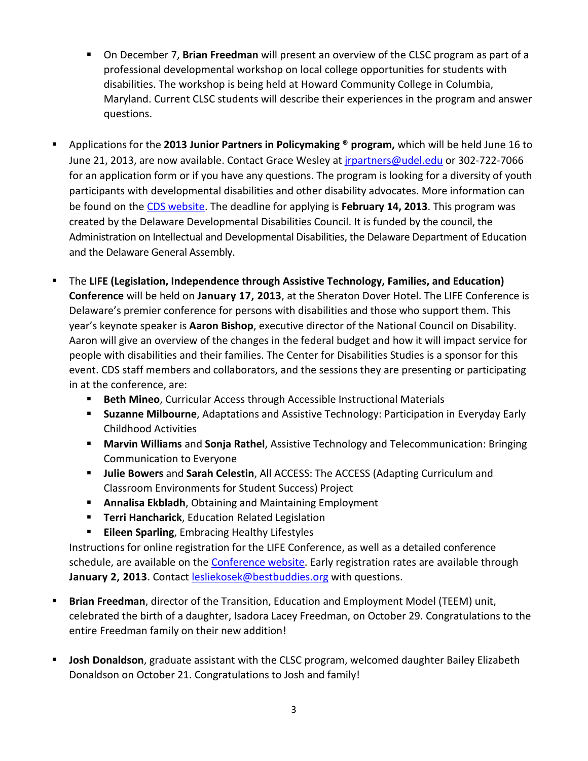- On December 7, **Brian Freedman** will present an overview of the CLSC program as part of a professional developmental workshop on local college opportunities for students with disabilities. The workshop is being held at Howard Community College in Columbia, Maryland. Current CLSC students will describe their experiences in the program and answer questions.
- Applications for the **2013 Junior Partners in Policymaking ® program,** which will be held June 16 to June 21, 2013, are now available. Contact Grace Wesley at [jrpartners@udel.edu](mailto:jrpartners@udel.edu) or 302-722-7066 for an application form or if you have any questions. The program is looking for a diversity of youth participants with developmental disabilities and other disability advocates. More information can be found on the [CDS website.](http://www.udel.edu/cds/initiatives-adults-jrpartners.html) The deadline for applying is **February 14, 2013**. This program was created by the Delaware Developmental Disabilities Council. It is funded by the council, the Administration on Intellectual and Developmental Disabilities, the Delaware Department of Education and the Delaware General Assembly.
- The **LIFE (Legislation, Independence through Assistive Technology, Families, and Education) Conference** will be held on **January 17, 2013**, at the Sheraton Dover Hotel. The LIFE Conference is Delaware's premier conference for persons with disabilities and those who support them. This year's keynote speaker is **Aaron Bishop**, executive director of the National Council on Disability. Aaron will give an overview of the changes in the federal budget and how it will impact service for people with disabilities and their families. The Center for Disabilities Studies is a sponsor for this event. CDS staff members and collaborators, and the sessions they are presenting or participating in at the conference, are:
	- **Beth Mineo**, Curricular Access through Accessible Instructional Materials
	- **Suzanne Milbourne**, Adaptations and Assistive Technology: Participation in Everyday Early Childhood Activities
	- **Marvin Williams** and **Sonja Rathel**, Assistive Technology and Telecommunication: Bringing Communication to Everyone
	- **Julie Bowers** and **Sarah Celestin**, All ACCESS: The ACCESS (Adapting Curriculum and Classroom Environments for Student Success) Project
	- **Annalisa Ekbladh**, Obtaining and Maintaining Employment
	- **Terri Hancharick**, Education Related Legislation
	- **Eileen Sparling**, Embracing Healthy Lifestyles

Instructions for online registration for the LIFE Conference, as well as a detailed conference schedule, are available on the **Conference website**. Early registration rates are available through **January 2, 2013**. Contact [lesliekosek@bestbuddies.org](mailto:lesliekosek@bestbuddies.org) with questions.

- **Brian Freedman**, director of the Transition, Education and Employment Model (TEEM) unit, celebrated the birth of a daughter, Isadora Lacey Freedman, on October 29. Congratulations to the entire Freedman family on their new addition!
- **Josh Donaldson**, graduate assistant with the CLSC program, welcomed daughter Bailey Elizabeth Donaldson on October 21. Congratulations to Josh and family!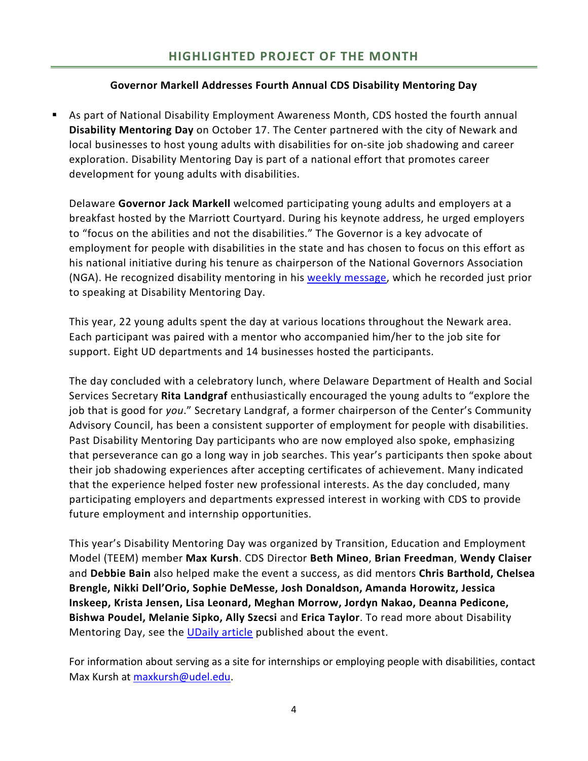#### **Governor Markell Addresses Fourth Annual CDS Disability Mentoring Day**

 As part of National Disability Employment Awareness Month, CDS hosted the fourth annual **Disability Mentoring Day** on October 17. The Center partnered with the city of Newark and local businesses to host young adults with disabilities for on-site job shadowing and career exploration. Disability Mentoring Day is part of a national effort that promotes career development for young adults with disabilities.

Delaware **Governor Jack Markell** welcomed participating young adults and employers at a breakfast hosted by the Marriott Courtyard. During his keynote address, he urged employers to "focus on the abilities and not the disabilities." The Governor is a key advocate of employment for people with disabilities in the state and has chosen to focus on this effort as his national initiative during his tenure as chairperson of the National Governors Association (NGA). He recognized disability mentoring in his [weekly message,](http://www.youtube.com/watch?v=71se9SMmDSU) which he recorded just prior to speaking at Disability Mentoring Day.

This year, 22 young adults spent the day at various locations throughout the Newark area. Each participant was paired with a mentor who accompanied him/her to the job site for support. Eight UD departments and 14 businesses hosted the participants.

The day concluded with a celebratory lunch, where Delaware Department of Health and Social Services Secretary **Rita Landgraf** enthusiastically encouraged the young adults to "explore the job that is good for *you*." Secretary Landgraf, a former chairperson of the Center's Community Advisory Council, has been a consistent supporter of employment for people with disabilities. Past Disability Mentoring Day participants who are now employed also spoke, emphasizing that perseverance can go a long way in job searches. This year's participants then spoke about their job shadowing experiences after accepting certificates of achievement. Many indicated that the experience helped foster new professional interests. As the day concluded, many participating employers and departments expressed interest in working with CDS to provide future employment and internship opportunities.

This year's Disability Mentoring Day was organized by Transition, Education and Employment Model (TEEM) member **Max Kursh**. CDS Director **Beth Mineo**, **Brian Freedman**, **Wendy Claiser** and **Debbie Bain** also helped make the event a success, as did mentors **Chris Barthold, Chelsea Brengle, Nikki Dell'Orio, Sophie DeMesse, Josh Donaldson, Amanda Horowitz, Jessica Inskeep, Krista Jensen, Lisa Leonard, Meghan Morrow, Jordyn Nakao, Deanna Pedicone, Bishwa Poudel, Melanie Sipko, Ally Szecsi** and **Erica Taylor**. To read more about Disability Mentoring Day, see the [UDaily article](http://www.udel.edu/udaily/2013/oct/disability-mentoring-102612.html) published about the event.

For information about serving as a site for internships or employing people with disabilities, contact Max Kursh at [maxkursh@udel.edu.](mailto:maxkursh@udel.edu)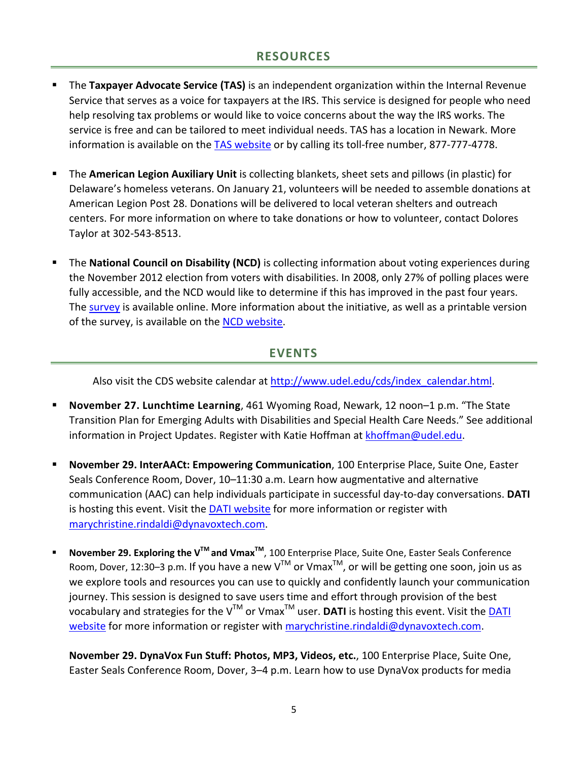### **RESOURCES**

- The **Taxpayer Advocate Service (TAS)** is an independent organization within the Internal Revenue Service that serves as a voice for taxpayers at the IRS. This service is designed for people who need help resolving tax problems or would like to voice concerns about the way the IRS works. The service is free and can be tailored to meet individual needs. TAS has a location in Newark. More information is available on the [TAS website](http://www.irs.gov/advocate) or by calling its toll-free number, 877-777-4778.
- The **American Legion Auxiliary Unit** is collecting blankets, sheet sets and pillows (in plastic) for Delaware's homeless veterans. On January 21, volunteers will be needed to assemble donations at American Legion Post 28. Donations will be delivered to local veteran shelters and outreach centers. For more information on where to take donations or how to volunteer, contact Dolores Taylor at 302-543-8513.
- The **National Council on Disability (NCD)** is collecting information about voting experiences during the November 2012 election from voters with disabilities. In 2008, only 27% of polling places were fully accessible, and the NCD would like to determine if this has improved in the past four years. The [survey](http://www.surveygizmo.com/s3/1053447/Voting) is available online. More information about the initiative, as well as a printable version of the survey, is available on the [NCD website.](http://www.ncd.gov/newsroom/research/VotingExperiences)

### **EVENTS**

Also visit the CDS website calendar at [http://www.udel.edu/cds/index\\_calendar.html.](http://www.udel.edu/cds/index_calendar.html)

- **November 27. Lunchtime Learning**, 461 Wyoming Road, Newark, 12 noon–1 p.m. "The State Transition Plan for Emerging Adults with Disabilities and Special Health Care Needs." See additional information in Project Updates. Register with Katie Hoffman at [khoffman@udel.edu.](mailto:khoffman@udel.edu)
- **November 29. InterAACt: Empowering Communication**, 100 Enterprise Place, Suite One, Easter Seals Conference Room, Dover, 10–11:30 a.m. Learn how augmentative and alternative communication (AAC) can help individuals participate in successful day-to-day conversations. **DATI**  is hosting this event. Visit th[e DATI website](http://www.dati.org/events/event_detail.php?event_id=387) for more information or register with [marychristine.rindaldi@dynavoxtech.com.](mailto:marychristine.rindaldi@dynavoxtech.com)
- November 29. Exploring the V<sup>™</sup> and Vmax<sup>™</sup>, 100 Enterprise Place, Suite One, Easter Seals Conference Room, Dover, 12:30–3 p.m. If you have a new V<sup>™</sup> or Vmax<sup>™</sup>, or will be getting one soon, join us as we explore tools and resources you can use to quickly and confidently launch your communication journey. This session is designed to save users time and effort through provision of the best vocabulary and strategies for the V<sup>™</sup> or Vmax<sup>™</sup> user. **DATI** is hosting this event. Visit the DATI [website](http://www.dati.org/events/event_detail.php?event_id=388) for more information or register with [marychristine.rindaldi@dynavoxtech.com.](mailto:marychristine.rindaldi@dynavoxtech.com)

**November 29. DynaVox Fun Stuff: Photos, MP3, Videos, etc.**, 100 Enterprise Place, Suite One, Easter Seals Conference Room, Dover, 3–4 p.m. Learn how to use DynaVox products for media